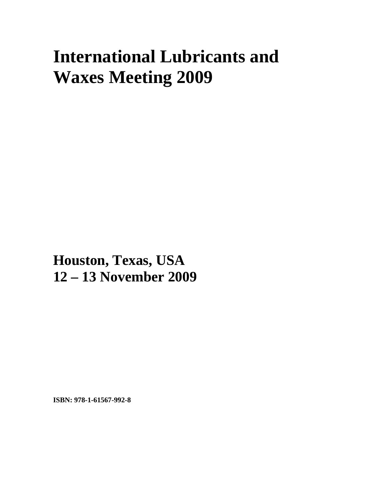## **International Lubricants and Waxes Meeting 2009**

**Houston, Texas, USA 12 – 13 November 2009**

**ISBN: 978-1-61567-992-8**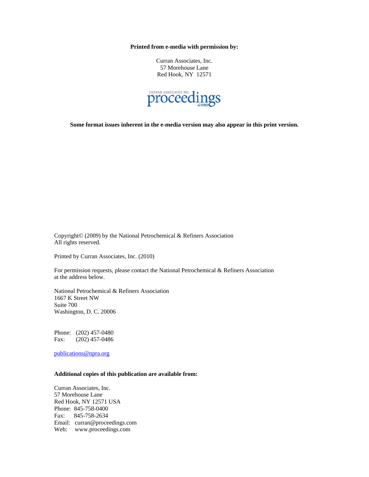**Printed from e-media with permission by:** 

Curran Associates, Inc. 57 Morehouse Lane Red Hook, NY 12571



**Some format issues inherent in the e-media version may also appear in this print version.** 

Copyright© (2009) by the National Petrochemical & Refiners Association All rights reserved.

Printed by Curran Associates, Inc. (2010)

For permission requests, please contact the National Petrochemical & Refiners Association at the address below.

National Petrochemical & Refiners Association 1667 K Street NW Suite 700 Washington, D. C. 20006

Phone: (202) 457-0480 Fax: (202) 457-0486

[publications@npra.org](mailto:publications@npra.org)

## **Additional copies of this publication are available from:**

Curran Associates, Inc. 57 Morehouse Lane Red Hook, NY 12571 USA Phone: 845-758-0400 Fax: 845-758-2634 Email: curran@proceedings.com Web: www.proceedings.com